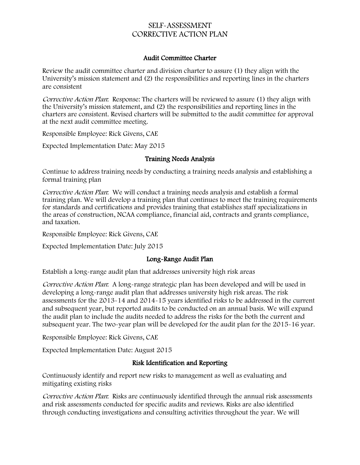# SELF-ASSESSMENT CORRECTIVE ACTION PLAN

### Audit Committee Charter

Review the audit committee charter and division charter to assure (1) they align with the University's mission statement and (2) the responsibilities and reporting lines in the charters are consistent

Corrective Action Plan: Response: The charters will be reviewed to assure (1) they align with the University's mission statement, and (2) the responsibilities and reporting lines in the charters are consistent. Revised charters will be submitted to the audit committee for approval at the next audit committee meeting.

Responsible Employee: Rick Givens, CAE

Expected Implementation Date: May 2015

#### Training Needs Analysis

Continue to address training needs by conducting a training needs analysis and establishing a formal training plan

Corrective Action Plan: We will conduct a training needs analysis and establish a formal training plan. We will develop a training plan that continues to meet the training requirements for standards and certifications and provides training that establishes staff specializations in the areas of construction, NCAA compliance, financial aid, contracts and grants compliance, and taxation.

Responsible Employee: Rick Givens, CAE

Expected Implementation Date: July 2015

#### Long-Range Audit Plan

Establish a long-range audit plan that addresses university high risk areas

Corrective Action Plan: A long-range strategic plan has been developed and will be used in developing a long-range audit plan that addresses university high risk areas. The risk assessments for the 2013-14 and 2014-15 years identified risks to be addressed in the current and subsequent year, but reported audits to be conducted on an annual basis. We will expand the audit plan to include the audits needed to address the risks for the both the current and subsequent year. The two-year plan will be developed for the audit plan for the 2015-16 year.

Responsible Employee: Rick Givens, CAE

Expected Implementation Date: August 2015

#### Risk Identification and Reporting

Continuously identify and report new risks to management as well as evaluating and mitigating existing risks

Corrective Action Plan: Risks are continuously identified through the annual risk assessments and risk assessments conducted for specific audits and reviews. Risks are also identified through conducting investigations and consulting activities throughout the year. We will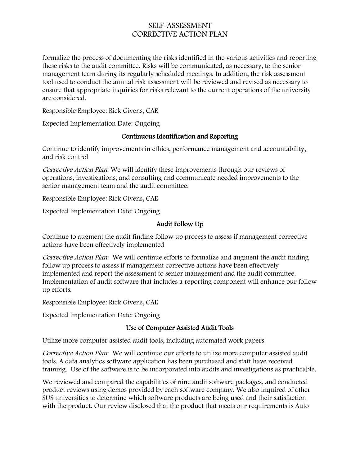# SELF-ASSESSMENT CORRECTIVE ACTION PLAN

formalize the process of documenting the risks identified in the various activities and reporting these risks to the audit committee. Risks will be communicated, as necessary, to the senior management team during its regularly scheduled meetings. In addition, the risk assessment tool used to conduct the annual risk assessment will be reviewed and revised as necessary to ensure that appropriate inquiries for risks relevant to the current operations of the university are considered.

Responsible Employee: Rick Givens, CAE

Expected Implementation Date: Ongoing

### Continuous Identification and Reporting

Continue to identify improvements in ethics, performance management and accountability, and risk control

Corrective Action Plan: We will identify these improvements through our reviews of operations, investigations, and consulting and communicate needed improvements to the senior management team and the audit committee.

Responsible Employee: Rick Givens, CAE

Expected Implementation Date: Ongoing

## Audit Follow Up

Continue to augment the audit finding follow up process to assess if management corrective actions have been effectively implemented

Corrective Action Plan: We will continue efforts to formalize and augment the audit finding follow up process to assess if management corrective actions have been effectively implemented and report the assessment to senior management and the audit committee. Implementation of audit software that includes a reporting component will enhance our follow up efforts.

Responsible Employee: Rick Givens, CAE

Expected Implementation Date: Ongoing

## Use of Computer Assisted Audit Tools

Utilize more computer assisted audit tools, including automated work papers

Corrective Action Plan: We will continue our efforts to utilize more computer assisted audit tools. A data analytics software application has been purchased and staff have received training. Use of the software is to be incorporated into audits and investigations as practicable.

We reviewed and compared the capabilities of nine audit software packages, and conducted product reviews using demos provided by each software company. We also inquired of other SUS universities to determine which software products are being used and their satisfaction with the product. Our review disclosed that the product that meets our requirements is Auto